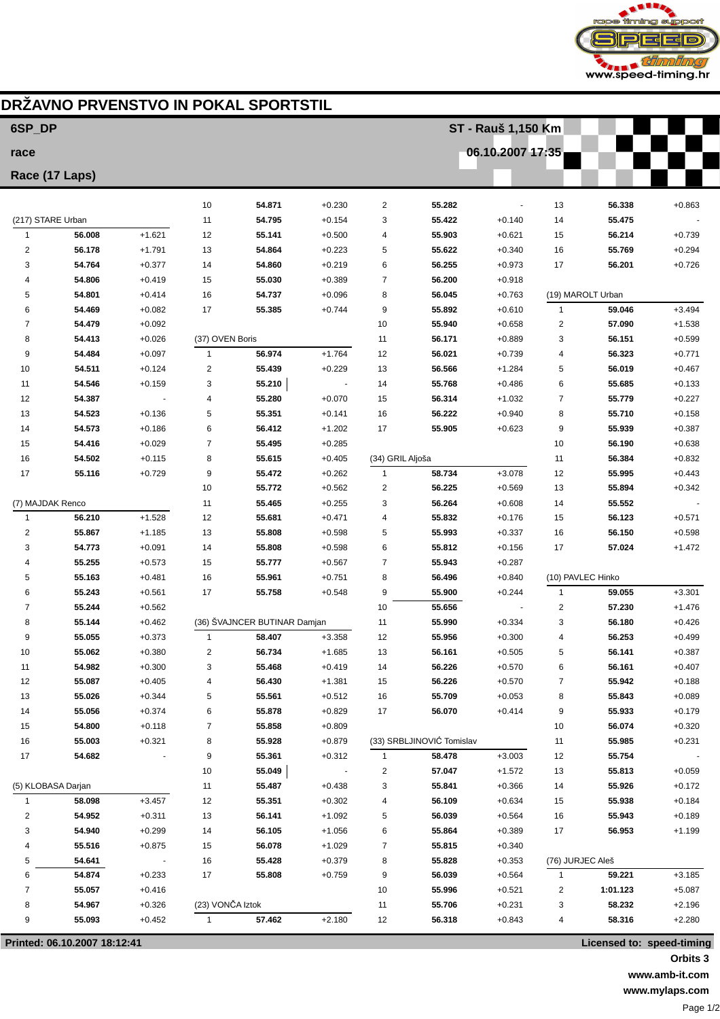

## **DRŽAVNO PRVENSTVO IN POKAL SPORTSTIL**

| 6SP DP                                                    |                  |                      |                  |                              |                      | ST - Rauš 1,150 Km |                           |                      |                   |                   |                      |  |
|-----------------------------------------------------------|------------------|----------------------|------------------|------------------------------|----------------------|--------------------|---------------------------|----------------------|-------------------|-------------------|----------------------|--|
| race                                                      |                  |                      |                  |                              |                      |                    |                           | 06.10.2007 17:35     |                   |                   |                      |  |
| Race (17 Laps)                                            |                  |                      |                  |                              |                      |                    |                           |                      |                   |                   |                      |  |
|                                                           |                  |                      |                  |                              |                      |                    |                           |                      |                   |                   |                      |  |
|                                                           |                  |                      | 10               | 54.871                       | $+0.230$             | 2                  | 55.282                    |                      | 13                | 56.338            | $+0.863$             |  |
| (217) STARE Urban                                         |                  |                      | 11               | 54.795                       | $+0.154$             | 3                  | 55.422                    | $+0.140$             | 14                | 55.475            |                      |  |
| $\mathbf{1}$                                              | 56.008           | $+1.621$             | 12               | 55.141                       | $+0.500$             | 4                  | 55.903                    | $+0.621$             | 15                | 56.214            | $+0.739$             |  |
| $\overline{2}$<br>3                                       | 56.178<br>54.764 | $+1.791$<br>$+0.377$ | 13<br>14         | 54.864<br>54.860             | $+0.223$<br>$+0.219$ | 5<br>6             | 55.622<br>56.255          | $+0.340$<br>$+0.973$ | 16<br>17          | 55.769<br>56.201  | $+0.294$<br>$+0.726$ |  |
| 4                                                         | 54.806           | $+0.419$             | 15               | 55.030                       | $+0.389$             | 7                  | 56.200                    | $+0.918$             |                   |                   |                      |  |
| 5                                                         | 54.801           | $+0.414$             | 16               | 54.737                       | $+0.096$             | 8                  | 56.045                    | $+0.763$             |                   | (19) MAROLT Urban |                      |  |
| 6                                                         | 54.469           | $+0.082$             | 17               | 55.385                       | $+0.744$             | 9                  | 55.892                    | $+0.610$             | 1                 | 59.046            | $+3.494$             |  |
| 7                                                         | 54.479           | $+0.092$             |                  |                              |                      | 10                 | 55.940                    | $+0.658$             | $\overline{2}$    | 57.090            | $+1.538$             |  |
| 8                                                         | 54.413           | $+0.026$             | (37) OVEN Boris  |                              |                      | 11                 | 56.171                    | $+0.889$             | 3                 | 56.151            | $+0.599$             |  |
| 9                                                         | 54.484           | $+0.097$             | $\mathbf{1}$     | 56.974                       | $+1.764$             | 12                 | 56.021                    | $+0.739$             | 4                 | 56.323            | $+0.771$             |  |
| 10                                                        | 54.511           | $+0.124$             | $\overline{2}$   | 55.439                       | $+0.229$             | 13                 | 56.566                    | $+1.284$             | 5                 | 56.019            | $+0.467$             |  |
| 11                                                        | 54.546           | $+0.159$             | 3                | 55.210                       |                      | 14                 | 55.768                    | $+0.486$             | 6                 | 55.685            | $+0.133$             |  |
| 12                                                        | 54.387           |                      | 4                | 55.280                       | $+0.070$             | 15                 | 56.314                    | $+1.032$             | $\overline{7}$    | 55.779            | $+0.227$             |  |
| 13                                                        | 54.523           | $+0.136$             | 5                | 55.351                       | $+0.141$             | 16                 | 56.222                    | $+0.940$             | 8                 | 55.710            | $+0.158$             |  |
| 14                                                        | 54.573           | $+0.186$             | 6                | 56.412                       | $+1.202$             | 17                 | 55.905                    | $+0.623$             | 9                 | 55.939            | $+0.387$             |  |
| 15                                                        | 54.416           | $+0.029$             | $\overline{7}$   | 55.495                       | $+0.285$             |                    |                           |                      | 10                | 56.190            | $+0.638$             |  |
| 16                                                        | 54.502           | $+0.115$             | 8                | 55.615                       | $+0.405$             | (34) GRIL Aljoša   |                           |                      | 11                | 56.384            | $+0.832$             |  |
| 17                                                        | 55.116           | $+0.729$             | 9                | 55.472                       | $+0.262$             | 1                  | 58.734                    | $+3.078$             | 12                | 55.995            | $+0.443$             |  |
|                                                           |                  |                      | 10               | 55.772                       | $+0.562$             | 2                  | 56.225                    | $+0.569$             | 13                | 55.894            | $+0.342$             |  |
| (7) MAJDAK Renco                                          |                  |                      | 11               | 55.465                       | $+0.255$             | 3                  | 56.264                    | $+0.608$             | 14                | 55.552            |                      |  |
| $\mathbf{1}$                                              | 56.210           | $+1.528$             | 12               | 55.681                       | $+0.471$             | 4                  | 55.832                    | $+0.176$             | 15                | 56.123            | $+0.571$             |  |
| $\overline{2}$                                            | 55.867           | $+1.185$             | 13               | 55.808                       | $+0.598$             | 5                  | 55.993                    | $+0.337$             | 16                | 56.150            | $+0.598$             |  |
| 3                                                         | 54.773           | $+0.091$             | 14               | 55.808                       | $+0.598$             | 6                  | 55.812                    | $+0.156$             | 17                | 57.024            | $+1.472$             |  |
| 4                                                         | 55.255           | $+0.573$             | 15               | 55.777                       | $+0.567$             | 7                  | 55.943                    | $+0.287$             |                   |                   |                      |  |
| 5                                                         | 55.163           | $+0.481$             | 16               | 55.961                       | $+0.751$             | 8                  | 56.496                    | $+0.840$             | (10) PAVLEC Hinko |                   |                      |  |
| 6                                                         | 55.243           | $+0.561$             | 17               | 55.758                       | $+0.548$             | 9                  | 55.900                    | $+0.244$             | 1                 | 59.055            | $+3.301$             |  |
| $\overline{7}$                                            | 55.244           | $+0.562$             |                  |                              |                      | 10                 | 55.656                    |                      | $\overline{2}$    | 57.230            | $+1.476$             |  |
| 8                                                         | 55.144           | $+0.462$             | $\mathbf{1}$     | (36) ŠVAJNCER BUTINAR Damjan | $+3.358$             | 11                 | 55.990                    | $+0.334$             | 3                 | 56.180            | $+0.426$             |  |
| 9<br>10                                                   | 55.055<br>55.062 | $+0.373$<br>$+0.380$ | $\overline{2}$   | 58.407<br>56.734             | $+1.685$             | 12<br>13           | 55.956<br>56.161          | $+0.300$<br>$+0.505$ | 4<br>5            | 56.253<br>56.141  | $+0.499$<br>$+0.387$ |  |
| 11                                                        | 54.982           | $+0.300$             | 3                | 55.468                       | $+0.419$             | 14                 | 56.226                    | $+0.570$             | 6                 | 56.161            | $+0.407$             |  |
| 12                                                        | 55.087           | $+0.405$             | 4                | 56.430                       | $+1.381$             | 15                 | 56.226                    | $+0.570$             | 7                 | 55.942            | $+0.188$             |  |
| 13                                                        | 55.026           | $+0.344$             | 5                | 55.561                       | $+0.512$             | 16                 | 55.709                    | $+0.053$             | 8                 | 55.843            | $+0.089$             |  |
| 14                                                        | 55.056           | $+0.374$             | 6                | 55.878                       | $+0.829$             | 17                 | 56.070                    | $+0.414$             | 9                 | 55.933            | $+0.179$             |  |
| 15                                                        | 54.800           | $+0.118$             | 7                | 55.858                       | $+0.809$             |                    |                           |                      | 10                | 56.074            | $+0.320$             |  |
| 16                                                        | 55.003           | $+0.321$             | 8                | 55.928                       | $+0.879$             |                    | (33) SRBLJINOVIĆ Tomislav |                      | 11                | 55.985            | $+0.231$             |  |
| 17                                                        | 54.682           |                      | 9                | 55.361                       | $+0.312$             | 1                  | 58.478                    | $+3.003$             | 12                | 55.754            |                      |  |
|                                                           |                  |                      | 10               | 55.049                       |                      | 2                  | 57.047                    | $+1.572$             | 13                | 55.813            | $+0.059$             |  |
| (5) KLOBASA Darjan                                        |                  |                      | 11               | 55.487                       | $+0.438$             | 3                  | 55.841                    | $+0.366$             | 14                | 55.926            | $+0.172$             |  |
| $\mathbf{1}$                                              | 58.098           | $+3.457$             | 12               | 55.351                       | $+0.302$             | 4                  | 56.109                    | $+0.634$             | 15                | 55.938            | $+0.184$             |  |
| $\overline{2}$                                            | 54.952           | $+0.311$             | 13               | 56.141                       | $+1.092$             | 5                  | 56.039                    | $+0.564$             | 16                | 55.943            | $+0.189$             |  |
| 3                                                         | 54.940           | $+0.299$             | 14               | 56.105                       | $+1.056$             | 6                  | 55.864                    | $+0.389$             | 17                | 56.953            | $+1.199$             |  |
| $\overline{4}$                                            | 55.516           | $+0.875$             | 15               | 56.078                       | $+1.029$             | 7                  | 55.815                    | $+0.340$             |                   |                   |                      |  |
| 5                                                         | 54.641           |                      | 16               | 55.428                       | $+0.379$             | 8                  | 55.828                    | $+0.353$             | (76) JURJEC Aleš  |                   |                      |  |
| 6                                                         | 54.874           | $+0.233$             | 17               | 55.808                       | $+0.759$             | 9                  | 56.039                    | $+0.564$             | 1                 | 59.221            | $+3.185$             |  |
| 7                                                         | 55.057           | $+0.416$             |                  |                              |                      | 10                 | 55.996                    | $+0.521$             | 2                 | 1:01.123          | $+5.087$             |  |
| 8                                                         | 54.967           | $+0.326$             | (23) VONČA Iztok |                              |                      | 11                 | 55.706                    | $+0.231$             | 3                 | 58.232            | $+2.196$             |  |
| 9                                                         | 55.093           | $+0.452$             | $\mathbf{1}$     | 57.462                       | +2.180               | 12                 | 56.318                    | $+0.843$             | 4                 | 58.316            | $+2.280$             |  |
| Printed: 06.10.2007 18:12:41<br>Licensed to: speed-timing |                  |                      |                  |                              |                      |                    |                           |                      |                   |                   |                      |  |

**Orbits 3**

**www.amb-it.com www.mylaps.com**